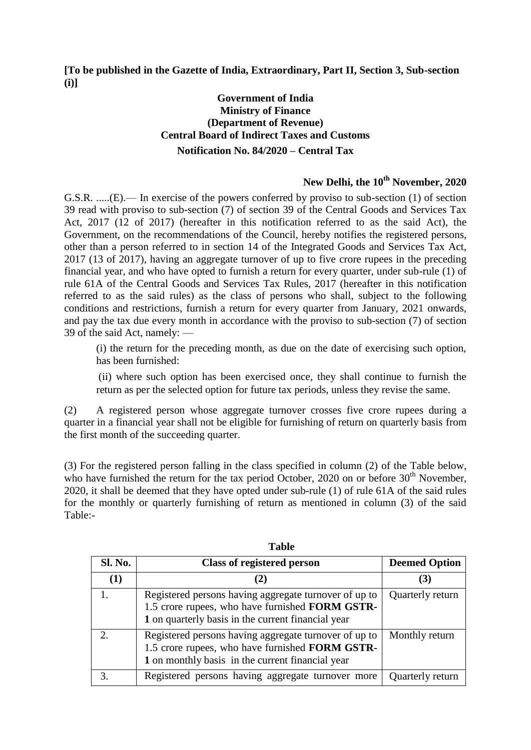**[To be published in the Gazette of India, Extraordinary, Part II, Section 3, Sub-section (i)]**

## **Government of India Ministry of Finance (Department of Revenue) Central Board of Indirect Taxes and Customs Notification No. 84/2020 – Central Tax**

## **New Delhi, the 10th November, 2020**

G.S.R. .....(E).— In exercise of the powers conferred by proviso to sub-section (1) of section 39 read with proviso to sub-section (7) of section 39 of the Central Goods and Services Tax Act, 2017 (12 of 2017) (hereafter in this notification referred to as the said Act), the Government, on the recommendations of the Council, hereby notifies the registered persons, other than a person referred to in section 14 of the Integrated Goods and Services Tax Act, 2017 (13 of 2017), having an aggregate turnover of up to five crore rupees in the preceding financial year, and who have opted to furnish a return for every quarter, under sub-rule (1) of rule 61A of the Central Goods and Services Tax Rules, 2017 (hereafter in this notification referred to as the said rules) as the class of persons who shall, subject to the following conditions and restrictions, furnish a return for every quarter from January, 2021 onwards, and pay the tax due every month in accordance with the proviso to sub-section (7) of section 39 of the said Act, namely: —

(i) the return for the preceding month, as due on the date of exercising such option, has been furnished:

(ii) where such option has been exercised once, they shall continue to furnish the return as per the selected option for future tax periods, unless they revise the same.

(2) A registered person whose aggregate turnover crosses five crore rupees during a quarter in a financial year shall not be eligible for furnishing of return on quarterly basis from the first month of the succeeding quarter.

(3) For the registered person falling in the class specified in column (2) of the Table below, who have furnished the return for the tax period October, 2020 on or before  $30<sup>th</sup>$  November, 2020, it shall be deemed that they have opted under sub-rule (1) of rule 61A of the said rules for the monthly or quarterly furnishing of return as mentioned in column (3) of the said Table:-

| <b>Sl. No.</b> | <b>Class of registered person</b>                                                                                                                              | <b>Deemed Option</b> |  |
|----------------|----------------------------------------------------------------------------------------------------------------------------------------------------------------|----------------------|--|
| (1)            | 2)                                                                                                                                                             | (3)                  |  |
|                | Registered persons having aggregate turnover of up to<br>1.5 crore rupees, who have furnished FORM GSTR-<br>1 on quarterly basis in the current financial year | Quarterly return     |  |
| $\mathcal{D}$  | Registered persons having aggregate turnover of up to<br>1.5 crore rupees, who have furnished FORM GSTR-<br>1 on monthly basis in the current financial year   | Monthly return       |  |
|                | Registered persons having aggregate turnover more                                                                                                              | Quarterly return     |  |

**Table**